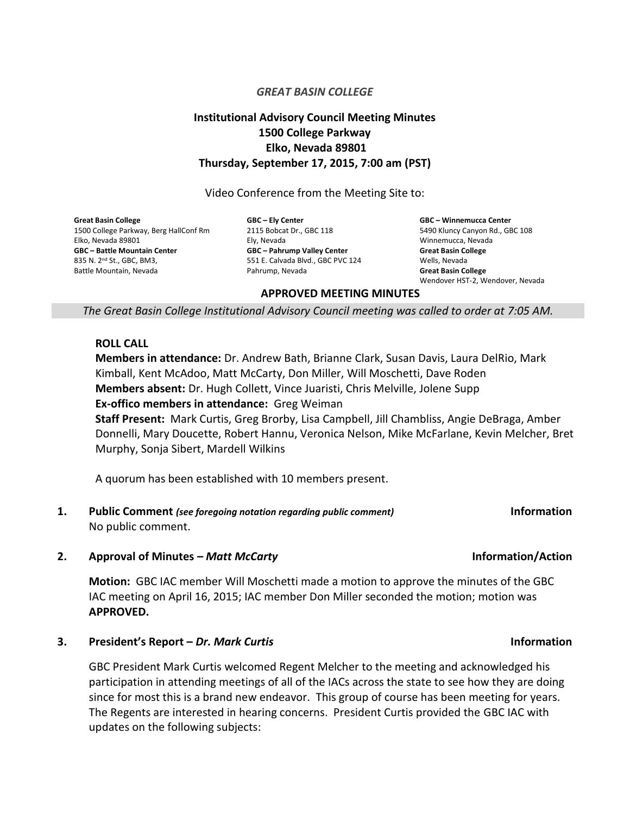### *GREAT BASIN COLLEGE*

# **Institutional Advisory Council Meeting Minutes 1500 College Parkway Elko, Nevada 89801 Thursday, September 17, 2015, 7:00 am (PST)**

Video Conference from the Meeting Site to:

**Great Basin College** 1500 College Parkway, Berg HallConf Rm Elko, Nevada 89801 **GBC – Battle Mountain Center** 835 N. 2nd St., GBC, BM3, Battle Mountain, Nevada

**GBC – Ely Center** 2115 Bobcat Dr., GBC 118 Ely, Nevada **GBC – Pahrump Valley Center** 551 E. Calvada Blvd., GBC PVC 124 Pahrump, Nevada

**GBC – Winnemucca Center** 5490 Kluncy Canyon Rd., GBC 108 Winnemucca, Nevada **Great Basin College** Wells, Nevada **Great Basin College** Wendover HST-2, Wendover, Nevada

### **APPROVED MEETING MINUTES**

*The Great Basin College Institutional Advisory Council meeting was called to order at 7:05 AM.*

### **ROLL CALL**

**Members in attendance:** Dr. Andrew Bath, Brianne Clark, Susan Davis, Laura DelRio, Mark Kimball, Kent McAdoo, Matt McCarty, Don Miller, Will Moschetti, Dave Roden **Members absent:** Dr. Hugh Collett, Vince Juaristi, Chris Melville, Jolene Supp **Ex-offico members in attendance:** Greg Weiman

**Staff Present:** Mark Curtis, Greg Brorby, Lisa Campbell, Jill Chambliss, Angie DeBraga, Amber Donnelli, Mary Doucette, Robert Hannu, Veronica Nelson, Mike McFarlane, Kevin Melcher, Bret Murphy, Sonja Sibert, Mardell Wilkins

A quorum has been established with 10 members present.

**1. Public Comment** *(see foregoing notation regarding public comment)* **Information** No public comment.

### **2. Approval of Minutes –** *Matt McCarty* **Information/Action**

**Motion:** GBC IAC member Will Moschetti made a motion to approve the minutes of the GBC IAC meeting on April 16, 2015; IAC member Don Miller seconded the motion; motion was **APPROVED.**

### **3. President's Report –** *Dr. Mark Curtis* **Information**

GBC President Mark Curtis welcomed Regent Melcher to the meeting and acknowledged his participation in attending meetings of all of the IACs across the state to see how they are doing since for most this is a brand new endeavor. This group of course has been meeting for years. The Regents are interested in hearing concerns. President Curtis provided the GBC IAC with updates on the following subjects: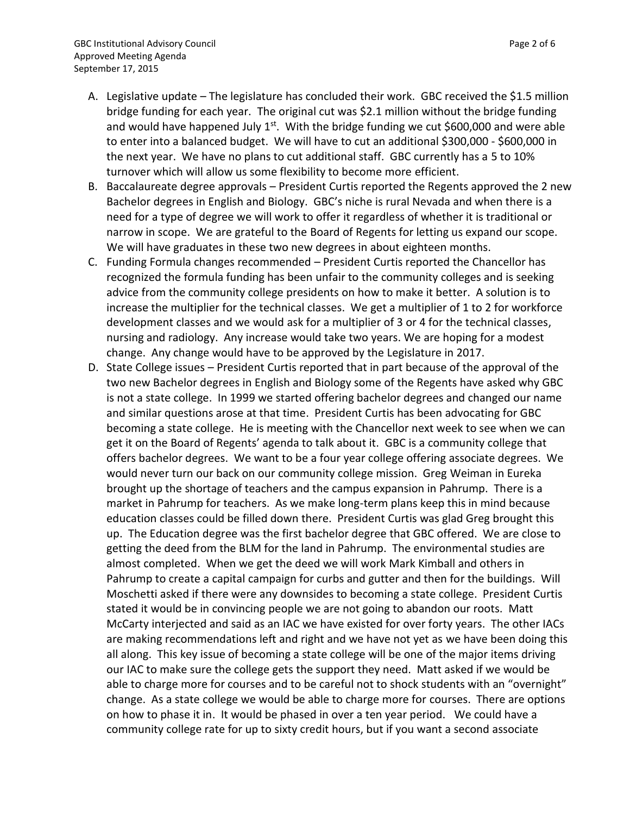- A. Legislative update The legislature has concluded their work. GBC received the \$1.5 million bridge funding for each year. The original cut was \$2.1 million without the bridge funding and would have happened July 1<sup>st</sup>. With the bridge funding we cut \$600,000 and were able to enter into a balanced budget. We will have to cut an additional \$300,000 - \$600,000 in the next year. We have no plans to cut additional staff. GBC currently has a 5 to 10% turnover which will allow us some flexibility to become more efficient.
- B. Baccalaureate degree approvals President Curtis reported the Regents approved the 2 new Bachelor degrees in English and Biology. GBC's niche is rural Nevada and when there is a need for a type of degree we will work to offer it regardless of whether it is traditional or narrow in scope. We are grateful to the Board of Regents for letting us expand our scope. We will have graduates in these two new degrees in about eighteen months.
- C. Funding Formula changes recommended President Curtis reported the Chancellor has recognized the formula funding has been unfair to the community colleges and is seeking advice from the community college presidents on how to make it better. A solution is to increase the multiplier for the technical classes. We get a multiplier of 1 to 2 for workforce development classes and we would ask for a multiplier of 3 or 4 for the technical classes, nursing and radiology. Any increase would take two years. We are hoping for a modest change. Any change would have to be approved by the Legislature in 2017.
- D. State College issues President Curtis reported that in part because of the approval of the two new Bachelor degrees in English and Biology some of the Regents have asked why GBC is not a state college. In 1999 we started offering bachelor degrees and changed our name and similar questions arose at that time. President Curtis has been advocating for GBC becoming a state college. He is meeting with the Chancellor next week to see when we can get it on the Board of Regents' agenda to talk about it. GBC is a community college that offers bachelor degrees. We want to be a four year college offering associate degrees. We would never turn our back on our community college mission. Greg Weiman in Eureka brought up the shortage of teachers and the campus expansion in Pahrump. There is a market in Pahrump for teachers. As we make long-term plans keep this in mind because education classes could be filled down there. President Curtis was glad Greg brought this up. The Education degree was the first bachelor degree that GBC offered. We are close to getting the deed from the BLM for the land in Pahrump. The environmental studies are almost completed. When we get the deed we will work Mark Kimball and others in Pahrump to create a capital campaign for curbs and gutter and then for the buildings. Will Moschetti asked if there were any downsides to becoming a state college. President Curtis stated it would be in convincing people we are not going to abandon our roots. Matt McCarty interjected and said as an IAC we have existed for over forty years. The other IACs are making recommendations left and right and we have not yet as we have been doing this all along. This key issue of becoming a state college will be one of the major items driving our IAC to make sure the college gets the support they need. Matt asked if we would be able to charge more for courses and to be careful not to shock students with an "overnight" change. As a state college we would be able to charge more for courses. There are options on how to phase it in. It would be phased in over a ten year period. We could have a community college rate for up to sixty credit hours, but if you want a second associate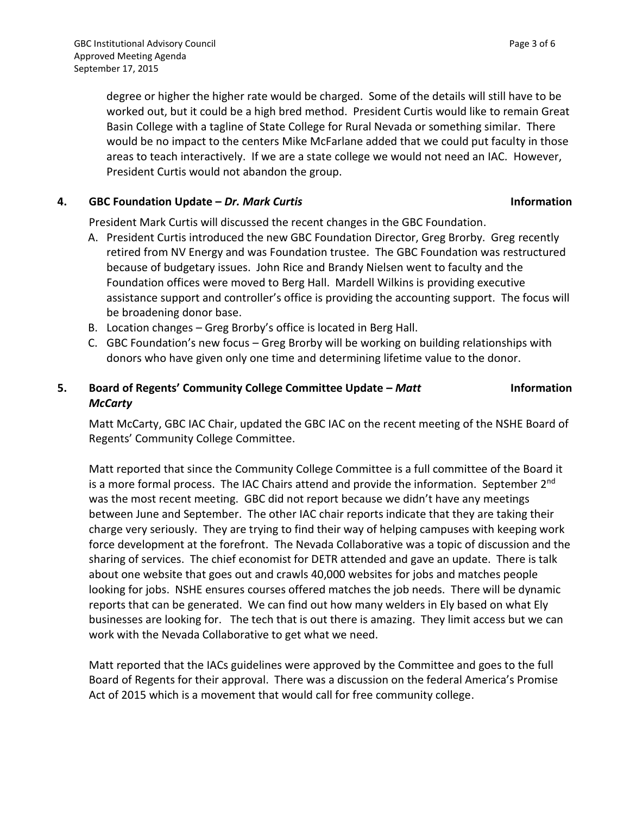degree or higher the higher rate would be charged. Some of the details will still have to be worked out, but it could be a high bred method. President Curtis would like to remain Great Basin College with a tagline of State College for Rural Nevada or something similar. There would be no impact to the centers Mike McFarlane added that we could put faculty in those areas to teach interactively. If we are a state college we would not need an IAC. However, President Curtis would not abandon the group.

## **4. GBC Foundation Update –** *Dr. Mark Curtis* **Information**

President Mark Curtis will discussed the recent changes in the GBC Foundation.

- A. President Curtis introduced the new GBC Foundation Director, Greg Brorby. Greg recently retired from NV Energy and was Foundation trustee. The GBC Foundation was restructured because of budgetary issues. John Rice and Brandy Nielsen went to faculty and the Foundation offices were moved to Berg Hall. Mardell Wilkins is providing executive assistance support and controller's office is providing the accounting support. The focus will be broadening donor base.
- B. Location changes Greg Brorby's office is located in Berg Hall.
- C. GBC Foundation's new focus Greg Brorby will be working on building relationships with donors who have given only one time and determining lifetime value to the donor.

# **5. Board of Regents' Community College Committee Update –** *Matt McCarty*

Matt McCarty, GBC IAC Chair, updated the GBC IAC on the recent meeting of the NSHE Board of Regents' Community College Committee.

Matt reported that since the Community College Committee is a full committee of the Board it is a more formal process. The IAC Chairs attend and provide the information. September 2<sup>nd</sup> was the most recent meeting. GBC did not report because we didn't have any meetings between June and September. The other IAC chair reports indicate that they are taking their charge very seriously. They are trying to find their way of helping campuses with keeping work force development at the forefront. The Nevada Collaborative was a topic of discussion and the sharing of services. The chief economist for DETR attended and gave an update. There is talk about one website that goes out and crawls 40,000 websites for jobs and matches people looking for jobs. NSHE ensures courses offered matches the job needs. There will be dynamic reports that can be generated. We can find out how many welders in Ely based on what Ely businesses are looking for. The tech that is out there is amazing. They limit access but we can work with the Nevada Collaborative to get what we need.

Matt reported that the IACs guidelines were approved by the Committee and goes to the full Board of Regents for their approval. There was a discussion on the federal America's Promise Act of 2015 which is a movement that would call for free community college.

**Information**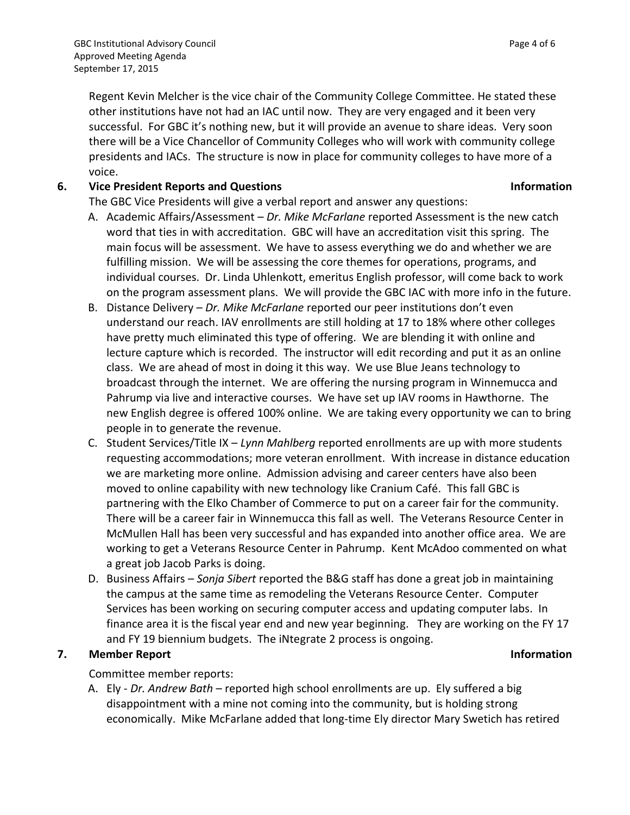Regent Kevin Melcher is the vice chair of the Community College Committee. He stated these other institutions have not had an IAC until now. They are very engaged and it been very successful. For GBC it's nothing new, but it will provide an avenue to share ideas. Very soon there will be a Vice Chancellor of Community Colleges who will work with community college presidents and IACs. The structure is now in place for community colleges to have more of a voice.

## **6. Vice President Reports and Questions Information**

The GBC Vice Presidents will give a verbal report and answer any questions:

- A. Academic Affairs/Assessment *Dr. Mike McFarlane* reported Assessment is the new catch word that ties in with accreditation. GBC will have an accreditation visit this spring. The main focus will be assessment. We have to assess everything we do and whether we are fulfilling mission. We will be assessing the core themes for operations, programs, and individual courses. Dr. Linda Uhlenkott, emeritus English professor, will come back to work on the program assessment plans. We will provide the GBC IAC with more info in the future.
- B. Distance Delivery *Dr. Mike McFarlane* reported our peer institutions don't even understand our reach. IAV enrollments are still holding at 17 to 18% where other colleges have pretty much eliminated this type of offering. We are blending it with online and lecture capture which is recorded. The instructor will edit recording and put it as an online class. We are ahead of most in doing it this way. We use Blue Jeans technology to broadcast through the internet. We are offering the nursing program in Winnemucca and Pahrump via live and interactive courses. We have set up IAV rooms in Hawthorne. The new English degree is offered 100% online. We are taking every opportunity we can to bring people in to generate the revenue.
- C. Student Services/Title IX *Lynn Mahlberg* reported enrollments are up with more students requesting accommodations; more veteran enrollment. With increase in distance education we are marketing more online. Admission advising and career centers have also been moved to online capability with new technology like Cranium Café. This fall GBC is partnering with the Elko Chamber of Commerce to put on a career fair for the community. There will be a career fair in Winnemucca this fall as well. The Veterans Resource Center in McMullen Hall has been very successful and has expanded into another office area. We are working to get a Veterans Resource Center in Pahrump. Kent McAdoo commented on what a great job Jacob Parks is doing.
- D. Business Affairs *Sonja Sibert* reported the B&G staff has done a great job in maintaining the campus at the same time as remodeling the Veterans Resource Center. Computer Services has been working on securing computer access and updating computer labs. In finance area it is the fiscal year end and new year beginning. They are working on the FY 17 and FY 19 biennium budgets. The iNtegrate 2 process is ongoing.

# **7. Member Report Information**

Committee member reports:

A. Ely - *Dr. Andrew Bath* – reported high school enrollments are up. Ely suffered a big disappointment with a mine not coming into the community, but is holding strong economically. Mike McFarlane added that long-time Ely director Mary Swetich has retired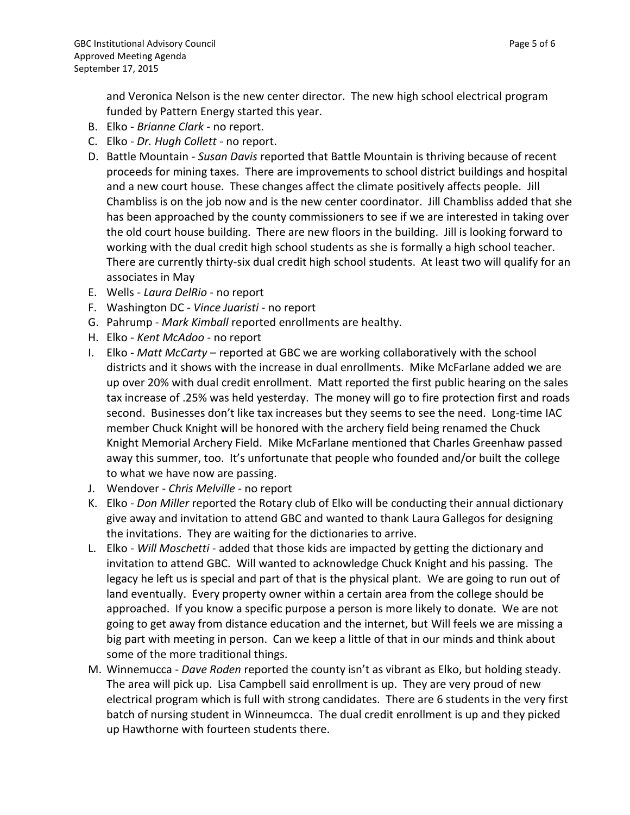and Veronica Nelson is the new center director. The new high school electrical program funded by Pattern Energy started this year.

- B. Elko *Brianne Clark* no report.
- C. Elko *Dr. Hugh Collett* no report.
- D. Battle Mountain *Susan Davis* reported that Battle Mountain is thriving because of recent proceeds for mining taxes. There are improvements to school district buildings and hospital and a new court house. These changes affect the climate positively affects people. Jill Chambliss is on the job now and is the new center coordinator. Jill Chambliss added that she has been approached by the county commissioners to see if we are interested in taking over the old court house building. There are new floors in the building. Jill is looking forward to working with the dual credit high school students as she is formally a high school teacher. There are currently thirty-six dual credit high school students. At least two will qualify for an associates in May
- E. Wells *Laura DelRio* no report
- F. Washington DC *Vince Juaristi* no report
- G. Pahrump *Mark Kimball* reported enrollments are healthy.
- H. Elko *Kent McAdoo* no report
- I. Elko *Matt McCarty* reported at GBC we are working collaboratively with the school districts and it shows with the increase in dual enrollments. Mike McFarlane added we are up over 20% with dual credit enrollment. Matt reported the first public hearing on the sales tax increase of .25% was held yesterday. The money will go to fire protection first and roads second. Businesses don't like tax increases but they seems to see the need. Long-time IAC member Chuck Knight will be honored with the archery field being renamed the Chuck Knight Memorial Archery Field. Mike McFarlane mentioned that Charles Greenhaw passed away this summer, too. It's unfortunate that people who founded and/or built the college to what we have now are passing.
- J. Wendover *Chris Melville* no report
- K. Elko *Don Miller* reported the Rotary club of Elko will be conducting their annual dictionary give away and invitation to attend GBC and wanted to thank Laura Gallegos for designing the invitations. They are waiting for the dictionaries to arrive.
- L. Elko *Will Moschetti* added that those kids are impacted by getting the dictionary and invitation to attend GBC. Will wanted to acknowledge Chuck Knight and his passing. The legacy he left us is special and part of that is the physical plant. We are going to run out of land eventually. Every property owner within a certain area from the college should be approached. If you know a specific purpose a person is more likely to donate. We are not going to get away from distance education and the internet, but Will feels we are missing a big part with meeting in person. Can we keep a little of that in our minds and think about some of the more traditional things.
- M. Winnemucca *Dave Roden* reported the county isn't as vibrant as Elko, but holding steady. The area will pick up. Lisa Campbell said enrollment is up. They are very proud of new electrical program which is full with strong candidates. There are 6 students in the very first batch of nursing student in Winneumcca. The dual credit enrollment is up and they picked up Hawthorne with fourteen students there.